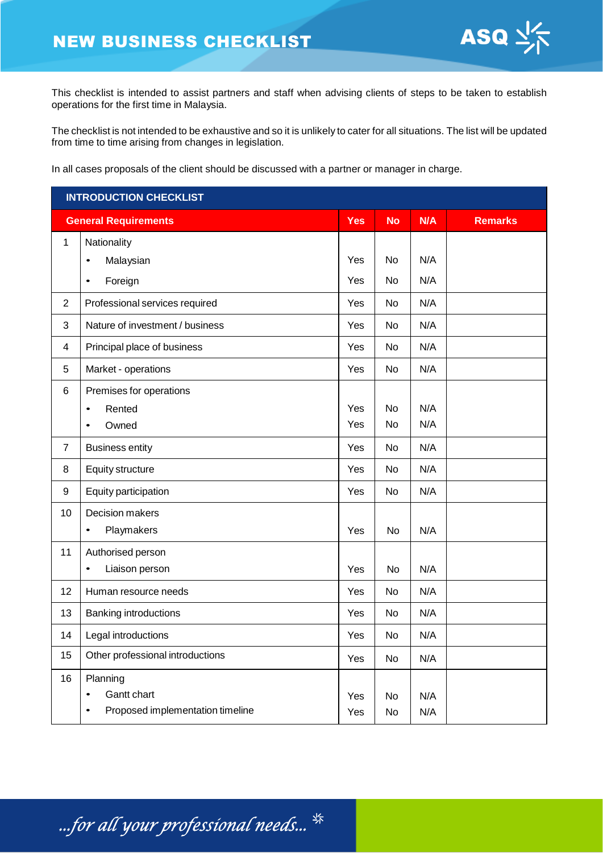

This checklist is intended to assist partners and staff when advising clients of steps to be taken to establish operations for the first time in Malaysia.

The checklist is not intended to be exhaustive and so it is unlikely to cater for all situations. The list will be updated from time to time arising from changes in legislation.

In all cases proposals of the client should be discussed with a partner or manager in charge.

| <b>INTRODUCTION CHECKLIST</b> |                                  |            |           |     |                |
|-------------------------------|----------------------------------|------------|-----------|-----|----------------|
|                               | <b>General Requirements</b>      | <b>Yes</b> | <b>No</b> | N/A | <b>Remarks</b> |
| $\mathbf{1}$                  | Nationality                      |            |           |     |                |
|                               | Malaysian<br>$\bullet$           | Yes        | No        | N/A |                |
|                               | Foreign<br>$\bullet$             | Yes        | No        | N/A |                |
| $\overline{2}$                | Professional services required   | Yes        | No        | N/A |                |
| 3                             | Nature of investment / business  | Yes        | No        | N/A |                |
| 4                             | Principal place of business      | Yes        | No        | N/A |                |
| 5                             | Market - operations              | Yes        | No        | N/A |                |
| 6                             | Premises for operations          |            |           |     |                |
|                               | Rented<br>$\bullet$              | Yes        | No        | N/A |                |
|                               | Owned<br>$\bullet$               | Yes        | <b>No</b> | N/A |                |
| $\overline{7}$                | <b>Business entity</b>           | Yes        | No        | N/A |                |
| 8                             | Equity structure                 | Yes        | No        | N/A |                |
| 9                             | Equity participation             | Yes        | No        | N/A |                |
| 10                            | Decision makers                  |            |           |     |                |
|                               | Playmakers<br>$\bullet$          | Yes        | No        | N/A |                |
| 11                            | Authorised person                |            |           |     |                |
|                               | Liaison person<br>$\bullet$      | Yes        | No        | N/A |                |
| 12                            | Human resource needs             | Yes        | No        | N/A |                |
| 13                            | <b>Banking introductions</b>     | Yes        | No        | N/A |                |
| 14                            | Legal introductions              | Yes        | No        | N/A |                |
| 15                            | Other professional introductions | Yes        | No        | N/A |                |
| 16                            | Planning                         |            |           |     |                |
|                               | Gantt chart<br>$\bullet$         | Yes        | No        | N/A |                |
|                               | Proposed implementation timeline | Yes        | No        | N/A |                |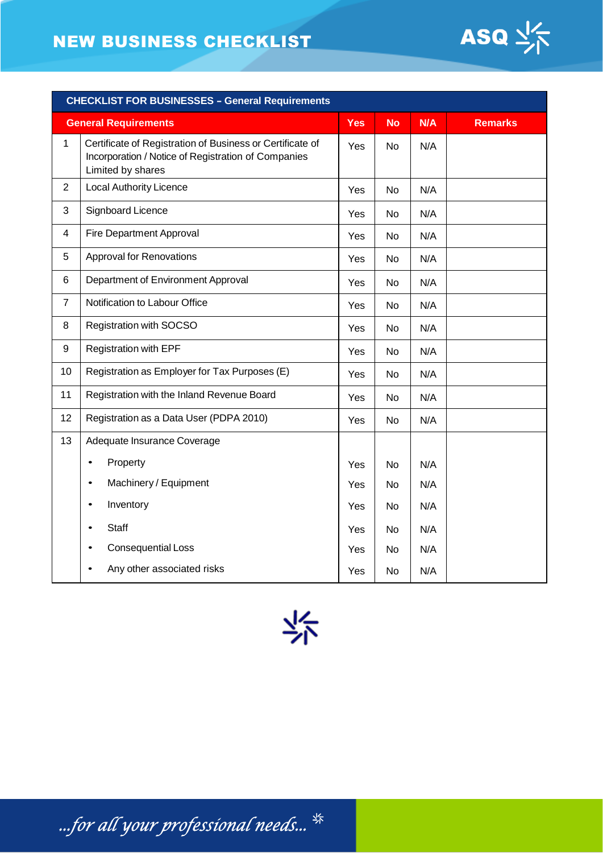# NEW BUSINESS CHECKLIST



| <b>CHECKLIST FOR BUSINESSES - General Requirements</b> |                                                                                                                                       |            |           |     |                |  |
|--------------------------------------------------------|---------------------------------------------------------------------------------------------------------------------------------------|------------|-----------|-----|----------------|--|
|                                                        | <b>General Requirements</b>                                                                                                           | <b>Yes</b> | <b>No</b> | N/A | <b>Remarks</b> |  |
| 1                                                      | Certificate of Registration of Business or Certificate of<br>Incorporation / Notice of Registration of Companies<br>Limited by shares | Yes        | <b>No</b> | N/A |                |  |
| $\overline{2}$                                         | <b>Local Authority Licence</b>                                                                                                        | Yes        | No        | N/A |                |  |
| 3                                                      | Signboard Licence                                                                                                                     | Yes        | <b>No</b> | N/A |                |  |
| $\overline{4}$                                         | Fire Department Approval                                                                                                              | Yes        | No        | N/A |                |  |
| 5                                                      | <b>Approval for Renovations</b>                                                                                                       | Yes        | No        | N/A |                |  |
| 6                                                      | Department of Environment Approval                                                                                                    | Yes        | <b>No</b> | N/A |                |  |
| $\overline{7}$                                         | Notification to Labour Office                                                                                                         | Yes        | No        | N/A |                |  |
| 8                                                      | Registration with SOCSO                                                                                                               | Yes        | <b>No</b> | N/A |                |  |
| 9                                                      | Registration with EPF                                                                                                                 | Yes        | No        | N/A |                |  |
| 10                                                     | Registration as Employer for Tax Purposes (E)                                                                                         | Yes        | <b>No</b> | N/A |                |  |
| 11                                                     | Registration with the Inland Revenue Board                                                                                            | Yes        | No        | N/A |                |  |
| 12                                                     | Registration as a Data User (PDPA 2010)                                                                                               | Yes        | No        | N/A |                |  |
| 13                                                     | Adequate Insurance Coverage                                                                                                           |            |           |     |                |  |
|                                                        | Property<br>$\bullet$                                                                                                                 | Yes        | <b>No</b> | N/A |                |  |
|                                                        | Machinery / Equipment<br>$\bullet$                                                                                                    | Yes        | No        | N/A |                |  |
|                                                        | Inventory<br>$\bullet$                                                                                                                | Yes        | No        | N/A |                |  |
|                                                        | <b>Staff</b>                                                                                                                          | Yes        | No        | N/A |                |  |
|                                                        | <b>Consequential Loss</b>                                                                                                             | Yes        | No        | N/A |                |  |
|                                                        | Any other associated risks                                                                                                            | Yes        | No        | N/A |                |  |

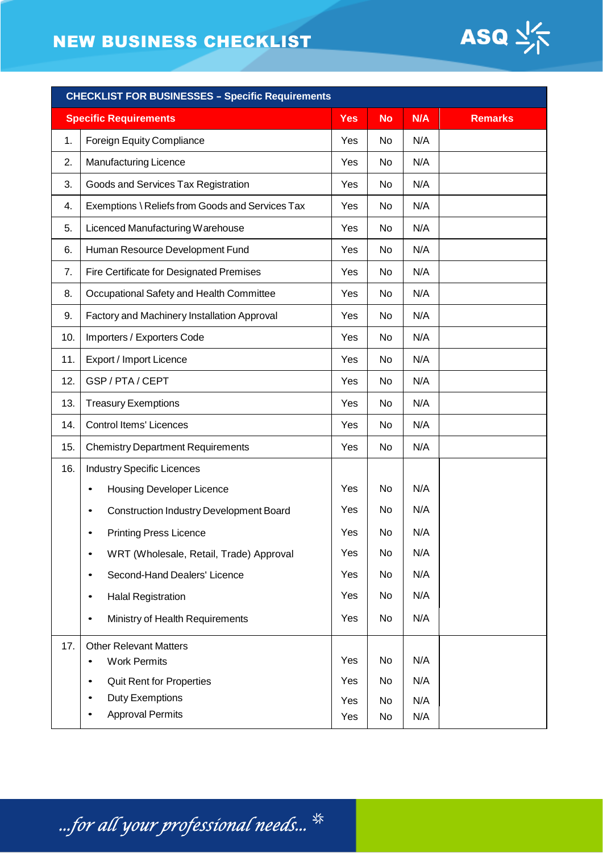# NEW BUSINESS CHECKLIST



| <b>CHECKLIST FOR BUSINESSES - Specific Requirements</b> |                                                             |            |           |            |                |  |
|---------------------------------------------------------|-------------------------------------------------------------|------------|-----------|------------|----------------|--|
|                                                         | <b>Specific Requirements</b>                                | Yes        | <b>No</b> | N/A        | <b>Remarks</b> |  |
| 1.                                                      | <b>Foreign Equity Compliance</b>                            | Yes        | No        | N/A        |                |  |
| 2.                                                      | <b>Manufacturing Licence</b>                                | Yes        | No        | N/A        |                |  |
| 3.                                                      | Goods and Services Tax Registration                         | Yes        | No        | N/A        |                |  |
| 4.                                                      | Exemptions \ Reliefs from Goods and Services Tax            | Yes        | No        | N/A        |                |  |
| 5.                                                      | Licenced Manufacturing Warehouse                            | Yes        | No        | N/A        |                |  |
| 6.                                                      | Human Resource Development Fund                             | Yes        | No        | N/A        |                |  |
| 7.                                                      | Fire Certificate for Designated Premises                    | Yes        | No        | N/A        |                |  |
| 8.                                                      | Occupational Safety and Health Committee                    | Yes        | No        | N/A        |                |  |
| 9.                                                      | Factory and Machinery Installation Approval                 | Yes        | No        | N/A        |                |  |
| 10.                                                     | Importers / Exporters Code                                  | Yes        | No        | N/A        |                |  |
| 11.                                                     | Export / Import Licence                                     | Yes        | No        | N/A        |                |  |
| 12.                                                     | GSP / PTA / CEPT                                            | Yes        | No        | N/A        |                |  |
| 13.                                                     | <b>Treasury Exemptions</b>                                  | Yes        | No        | N/A        |                |  |
| 14.                                                     | <b>Control Items' Licences</b>                              | Yes        | No        | N/A        |                |  |
| 15.                                                     | <b>Chemistry Department Requirements</b>                    | Yes        | No        | N/A        |                |  |
| 16.                                                     | <b>Industry Specific Licences</b>                           |            |           |            |                |  |
|                                                         | <b>Housing Developer Licence</b><br>$\bullet$               | Yes        | No        | N/A        |                |  |
|                                                         | <b>Construction Industry Development Board</b><br>$\bullet$ | Yes        | No        | N/A        |                |  |
|                                                         | <b>Printing Press Licence</b>                               | Yes        | No        | N/A        |                |  |
|                                                         | WRT (Wholesale, Retail, Trade) Approval<br>$\bullet$        | Yes        | No        | N/A        |                |  |
|                                                         | Second-Hand Dealers' Licence<br>$\bullet$                   | Yes        | No        | N/A        |                |  |
|                                                         | <b>Halal Registration</b><br>$\bullet$                      | Yes        | No        | N/A        |                |  |
|                                                         | Ministry of Health Requirements<br>٠                        | Yes        | No        | N/A        |                |  |
| 17.                                                     | <b>Other Relevant Matters</b>                               |            |           |            |                |  |
|                                                         | <b>Work Permits</b><br>$\bullet$                            | Yes        | No        | N/A        |                |  |
|                                                         | <b>Quit Rent for Properties</b><br>$\bullet$                | Yes        | No        | N/A        |                |  |
|                                                         | Duty Exemptions<br>$\bullet$<br><b>Approval Permits</b>     | Yes<br>Yes | No<br>No  | N/A<br>N/A |                |  |
|                                                         |                                                             |            |           |            |                |  |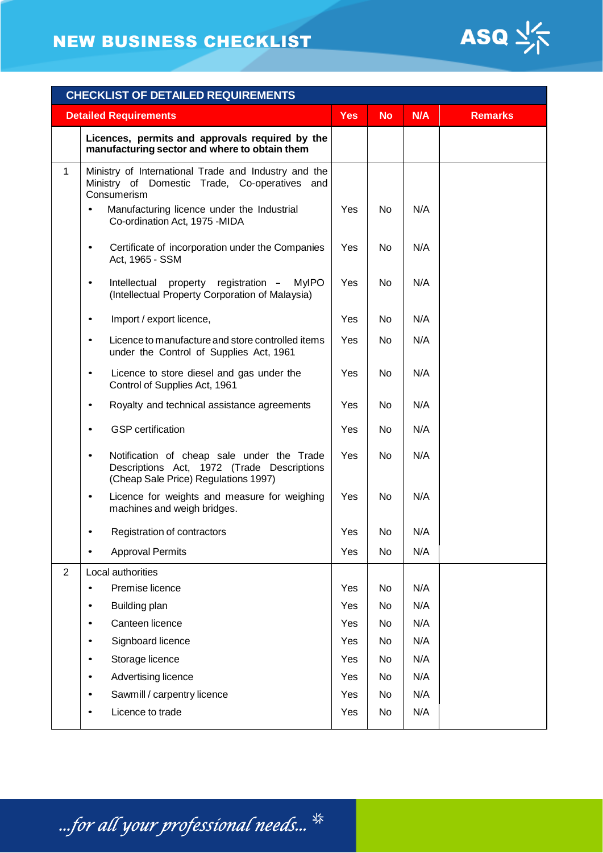

| <b>CHECKLIST OF DETAILED REQUIREMENTS</b> |                                                                                                                                               |            |           |     |                |  |
|-------------------------------------------|-----------------------------------------------------------------------------------------------------------------------------------------------|------------|-----------|-----|----------------|--|
|                                           | <b>Detailed Requirements</b>                                                                                                                  | <b>Yes</b> | <b>No</b> | N/A | <b>Remarks</b> |  |
|                                           | Licences, permits and approvals required by the<br>manufacturing sector and where to obtain them                                              |            |           |     |                |  |
| $\mathbf{1}$                              | Ministry of International Trade and Industry and the<br>Ministry of Domestic Trade, Co-operatives and<br>Consumerism                          |            |           |     |                |  |
|                                           | Manufacturing licence under the Industrial<br>Co-ordination Act, 1975 -MIDA                                                                   | Yes        | No        | N/A |                |  |
|                                           | Certificate of incorporation under the Companies<br>$\bullet$<br>Act, 1965 - SSM                                                              | Yes        | No        | N/A |                |  |
|                                           | property registration -<br><b>MyIPO</b><br>Intellectual<br>(Intellectual Property Corporation of Malaysia)                                    | Yes        | No        | N/A |                |  |
|                                           | Import / export licence,<br>$\bullet$                                                                                                         | Yes        | No        | N/A |                |  |
|                                           | Licence to manufacture and store controlled items<br>$\bullet$<br>under the Control of Supplies Act, 1961                                     | Yes        | No        | N/A |                |  |
|                                           | Licence to store diesel and gas under the<br>$\bullet$<br>Control of Supplies Act, 1961                                                       | Yes        | No        | N/A |                |  |
|                                           | Royalty and technical assistance agreements<br>$\bullet$                                                                                      | Yes        | No        | N/A |                |  |
|                                           | <b>GSP</b> certification<br>$\bullet$                                                                                                         | Yes        | No        | N/A |                |  |
|                                           | Notification of cheap sale under the Trade<br>$\bullet$<br>Descriptions Act, 1972 (Trade Descriptions<br>(Cheap Sale Price) Regulations 1997) | Yes        | No        | N/A |                |  |
|                                           | Licence for weights and measure for weighing<br>$\bullet$<br>machines and weigh bridges.                                                      | Yes        | No        | N/A |                |  |
|                                           | Registration of contractors                                                                                                                   | Yes        | No        | N/A |                |  |
|                                           | <b>Approval Permits</b>                                                                                                                       | Yes        | No        | N/A |                |  |
| $\overline{2}$                            | Local authorities                                                                                                                             |            |           |     |                |  |
|                                           | Premise licence                                                                                                                               | Yes        | No        | N/A |                |  |
|                                           | Building plan<br>٠                                                                                                                            | Yes        | No        | N/A |                |  |
|                                           | Canteen licence<br>٠                                                                                                                          | Yes        | No        | N/A |                |  |
|                                           | Signboard licence<br>٠                                                                                                                        | Yes        | No        | N/A |                |  |
|                                           | Storage licence<br>٠                                                                                                                          | Yes        | No        | N/A |                |  |
|                                           | Advertising licence<br>٠                                                                                                                      | Yes        | No        | N/A |                |  |
|                                           | Sawmill / carpentry licence<br>٠                                                                                                              | Yes        | No        | N/A |                |  |
|                                           | Licence to trade                                                                                                                              | Yes        | No        | N/A |                |  |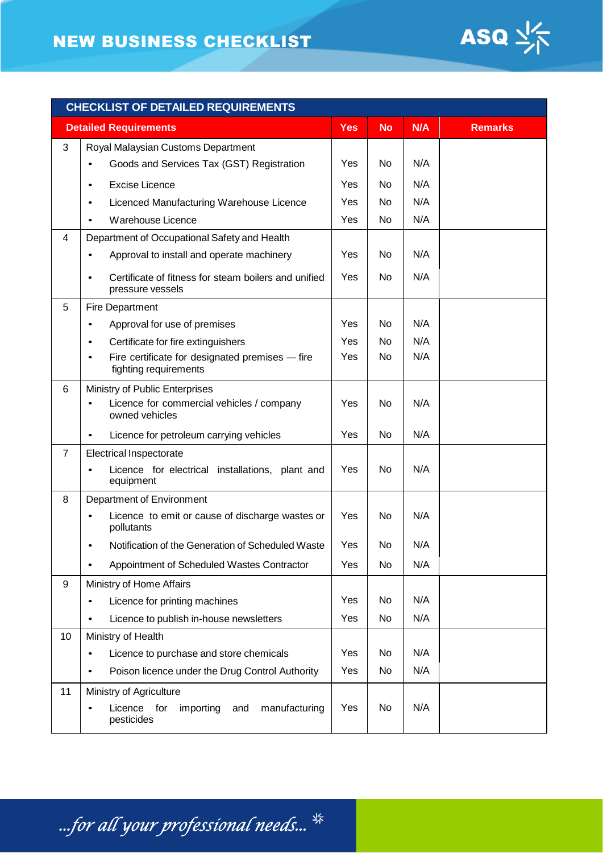## NEW BUSINESS CHECKLIST



| <b>CHECKLIST OF DETAILED REQUIREMENTS</b> |                                                                          |            |           |     |                |
|-------------------------------------------|--------------------------------------------------------------------------|------------|-----------|-----|----------------|
|                                           | <b>Detailed Requirements</b>                                             | <b>Yes</b> | <b>No</b> | N/A | <b>Remarks</b> |
| 3                                         | Royal Malaysian Customs Department                                       |            |           |     |                |
|                                           | Goods and Services Tax (GST) Registration                                | Yes        | No        | N/A |                |
|                                           | <b>Excise Licence</b><br>$\bullet$                                       | Yes        | No        | N/A |                |
|                                           | Licenced Manufacturing Warehouse Licence<br>$\bullet$                    | Yes        | No        | N/A |                |
|                                           | Warehouse Licence                                                        | Yes        | No        | N/A |                |
| 4                                         | Department of Occupational Safety and Health                             |            |           |     |                |
|                                           | Approval to install and operate machinery                                | Yes        | No        | N/A |                |
|                                           | Certificate of fitness for steam boilers and unified<br>pressure vessels | Yes        | No        | N/A |                |
| 5                                         | <b>Fire Department</b>                                                   |            |           |     |                |
|                                           | Approval for use of premises<br>$\bullet$                                | Yes        | No        | N/A |                |
|                                           | Certificate for fire extinguishers<br>$\bullet$                          | Yes        | No        | N/A |                |
|                                           | Fire certificate for designated premises - fire<br>fighting requirements | Yes        | No        | N/A |                |
| 6                                         | Ministry of Public Enterprises                                           |            |           |     |                |
|                                           | Licence for commercial vehicles / company<br>owned vehicles              | Yes        | No        | N/A |                |
|                                           | Licence for petroleum carrying vehicles                                  | Yes        | No        | N/A |                |
| $\overline{7}$                            | <b>Electrical Inspectorate</b>                                           |            |           |     |                |
|                                           | Licence for electrical installations, plant and<br>equipment             | Yes        | No        | N/A |                |
| 8                                         | Department of Environment                                                |            |           |     |                |
|                                           | Licence to emit or cause of discharge wastes or<br>pollutants            | Yes        | No        | N/A |                |
|                                           | Notification of the Generation of Scheduled Waste                        | Yes        | No        | N/A |                |
|                                           | Appointment of Scheduled Wastes Contractor                               | Yes        | No        | N/A |                |
| 9                                         | Ministry of Home Affairs                                                 |            |           |     |                |
|                                           | Licence for printing machines<br>$\bullet$                               | Yes        | No        | N/A |                |
|                                           | Licence to publish in-house newsletters                                  | Yes        | No        | N/A |                |
| 10                                        | Ministry of Health                                                       |            |           |     |                |
|                                           | Licence to purchase and store chemicals<br>٠                             | Yes        | No        | N/A |                |
|                                           | Poison licence under the Drug Control Authority                          | Yes        | No        | N/A |                |
| 11                                        | Ministry of Agriculture                                                  |            |           |     |                |
|                                           | Licence for<br>importing<br>manufacturing<br>and<br>pesticides           | Yes        | No        | N/A |                |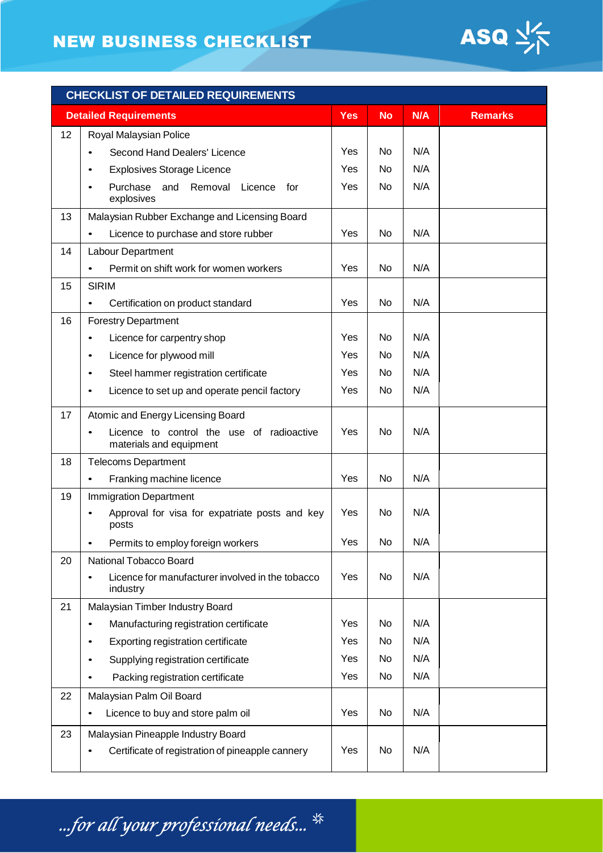

| <b>CHECKLIST OF DETAILED REQUIREMENTS</b> |                                                                      |            |           |     |                |
|-------------------------------------------|----------------------------------------------------------------------|------------|-----------|-----|----------------|
|                                           | <b>Detailed Requirements</b>                                         | <b>Yes</b> | <b>No</b> | N/A | <b>Remarks</b> |
| 12                                        | Royal Malaysian Police                                               |            |           |     |                |
|                                           | Second Hand Dealers' Licence                                         | Yes        | No        | N/A |                |
|                                           | <b>Explosives Storage Licence</b>                                    | Yes        | No        | N/A |                |
|                                           | Purchase<br>and<br>Removal<br>Licence<br>for<br>explosives           | Yes        | No        | N/A |                |
| 13                                        | Malaysian Rubber Exchange and Licensing Board                        |            |           |     |                |
|                                           | Licence to purchase and store rubber<br>$\bullet$                    | Yes        | No        | N/A |                |
| 14                                        | Labour Department                                                    |            |           |     |                |
|                                           | Permit on shift work for women workers<br>$\bullet$                  | Yes        | No        | N/A |                |
| 15                                        | <b>SIRIM</b>                                                         |            |           |     |                |
|                                           | Certification on product standard                                    | Yes        | No        | N/A |                |
| 16                                        | <b>Forestry Department</b>                                           |            |           |     |                |
|                                           | Licence for carpentry shop<br>$\bullet$                              | Yes        | No        | N/A |                |
|                                           | Licence for plywood mill<br>$\bullet$                                | Yes        | No        | N/A |                |
|                                           | Steel hammer registration certificate<br>$\bullet$                   | Yes        | No        | N/A |                |
|                                           | Licence to set up and operate pencil factory<br>$\bullet$            | Yes        | No        | N/A |                |
| 17                                        | Atomic and Energy Licensing Board                                    |            |           |     |                |
|                                           | Licence to control the use of radioactive<br>materials and equipment | Yes        | No        | N/A |                |
| 18                                        | <b>Telecoms Department</b>                                           |            |           |     |                |
|                                           | Franking machine licence<br>$\bullet$                                | Yes        | No        | N/A |                |
| 19                                        | <b>Immigration Department</b>                                        |            |           |     |                |
|                                           | Approval for visa for expatriate posts and key<br>posts              | Yes        | No        | N/A |                |
|                                           | Permits to employ foreign workers<br>$\bullet$                       | Yes        | No        | N/A |                |
| 20                                        | National Tobacco Board                                               |            |           |     |                |
|                                           | Licence for manufacturer involved in the tobacco<br>industry         | Yes        | No        | N/A |                |
| 21                                        | Malaysian Timber Industry Board                                      |            |           |     |                |
|                                           | Manufacturing registration certificate<br>$\bullet$                  | Yes        | No        | N/A |                |
|                                           | Exporting registration certificate<br>$\bullet$                      | Yes        | No        | N/A |                |
|                                           | Supplying registration certificate<br>٠                              | Yes        | No        | N/A |                |
|                                           | Packing registration certificate<br>$\bullet$                        | Yes        | No        | N/A |                |
| 22                                        | Malaysian Palm Oil Board                                             |            |           |     |                |
|                                           | Licence to buy and store palm oil<br>$\bullet$                       | Yes        | No        | N/A |                |
| 23                                        | Malaysian Pineapple Industry Board                                   |            |           |     |                |
|                                           | Certificate of registration of pineapple cannery                     | Yes        | No        | N/A |                |

...for all your professional needs...  $^{\frac{\omega}{3}}$